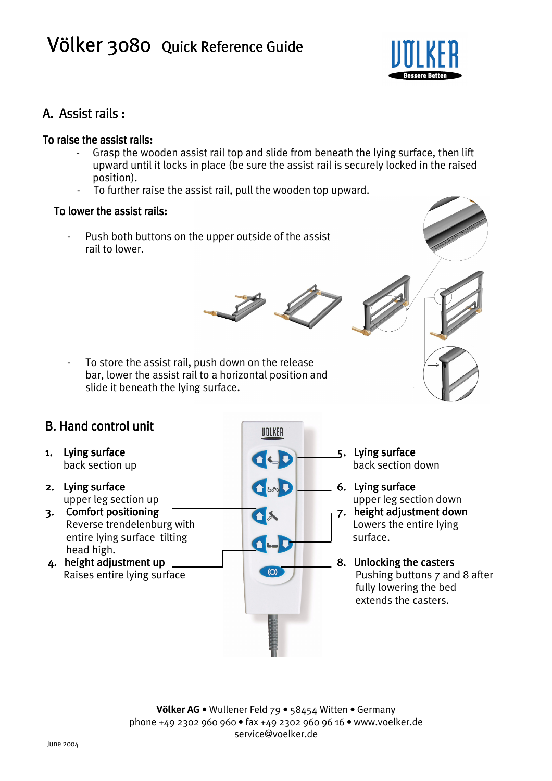# Völker 3080 Quick Reference Guide



## A. Assist rails:

#### To raise the assist rails:

- Grasp the wooden assist rail top and slide from beneath the lying surface, then lift upward until it locks in place (be sure the assist rail is securely locked in the raised position).
- To further raise the assist rail, pull the wooden top upward.

#### To lower the assist rails:

Push both buttons on the upper outside of the assist  $\overline{\phantom{a}}$ rail to lower.

UTLKER

OSD

J.C

 $\omega$ 



To store the assist rail, push down on the release bar, lower the assist rail to a horizontal position and slide it beneath the lying surface.

### **B. Hand control unit**

- 1. Lying surface back section up
- 2. Lying surface upper leg section up
- 3. Comfort positioning Reverse trendelenburg with entire lying surface tilting head high.
- 4. height adjustment up Raises entire lying surface



6. Lying surface upper leg section down

7. height adjustment down Lowers the entire lying surface.

8. Unlocking the casters Pushing buttons 7 and 8 after fully lowering the bed extends the casters.